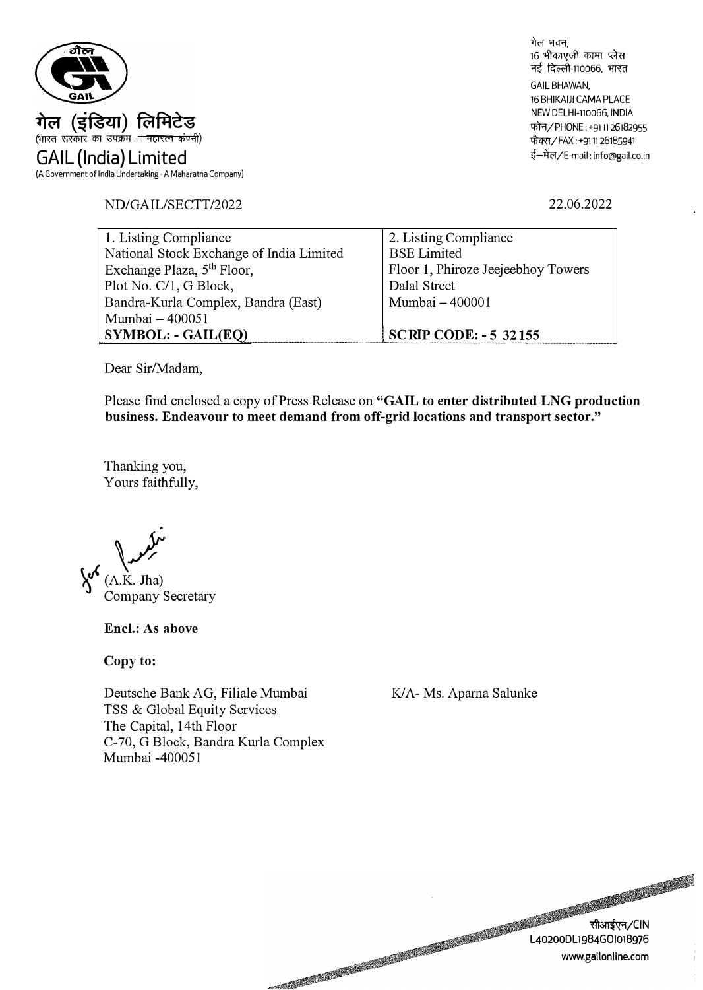

ND/GAIL/SECTT/2022

गेल भवन. 16 भीकाएजी कामा प्लेस नई दिल्ली-110066, भारत GAIL BHAWAN, 16 BHIKAIJI CAMA PLACE NEW DELHl-110066, INDIA फोन/PHONE: +9111 26182955 फैक्स/FAX: +911126185941 ई-मेल/E-mail: info@gail.co.in

22.06.2022

| 1. Listing Compliance                    | 2. Listing Compliance              |
|------------------------------------------|------------------------------------|
| National Stock Exchange of India Limited | <b>BSE</b> Limited                 |
| Exchange Plaza, 5 <sup>th</sup> Floor,   | Floor 1, Phiroze Jeejeebhoy Towers |
| Plot No. C/1, G Block,                   | Dalal Street                       |
| Bandra-Kurla Complex, Bandra (East)      | Mumbai - 400001                    |
| Mumbai - 400051                          |                                    |
| $\vert$ SYMBOL: - GAIL(EQ)               | <b>SCRIP CODE: - 5 32155</b>       |

Dear Sir/Madam,

Please find enclosed a copy of Press Release on **"GAIL to enter distributed LNG production business. Endeavour to meet demand from off-grid locations and transport sector."** 

Thanking you, Yours faithfully,

 $K.$  Jha) Company Secretary

**Encl.: As above** 

**Copy to:** 

Deutsche Bank AG, Filiale Mumbai TSS & Global Equity Services The Capital, 14th Floor C-70, G Block, Bandra Kurla Complex Mumbai -400051

K/A- Ms. Apama Salunke

सीआईएन/CIN L40200DL1984GOI018976 www.gailonline.com